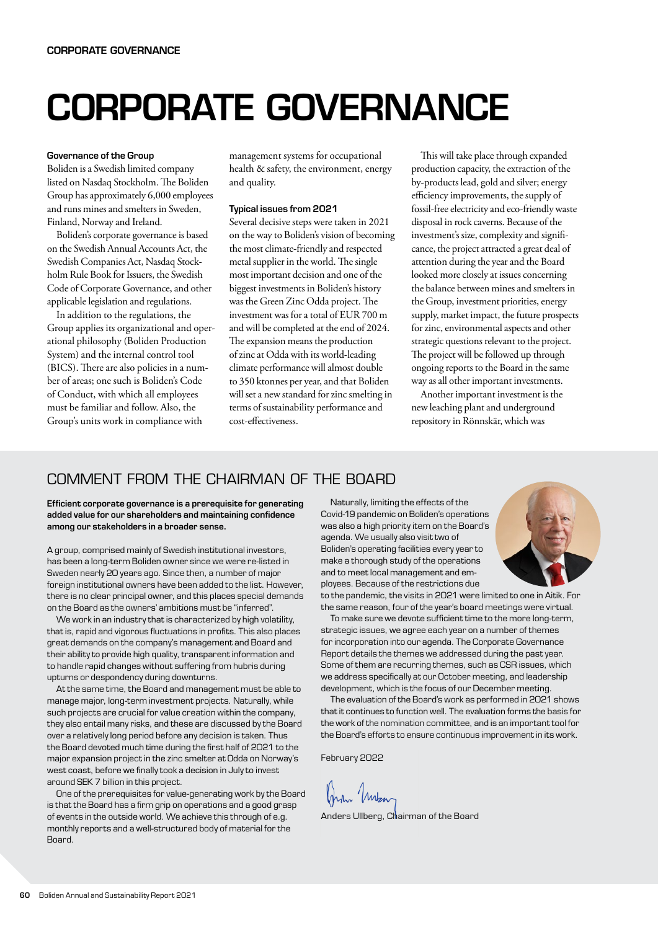# CORPORATE GOVERNANCE

#### Governance of the Group

Boliden is a Swedish limited company listed on Nasdaq Stockholm. The Boliden Group has approximately 6,000 employees and runs mines and smelters in Sweden, Finland, Norway and Ireland.

Boliden's corporate governance is based on the Swedish Annual Accounts Act, the Swedish Companies Act, Nasdaq Stockholm Rule Book for Issuers, the Swedish Code of Corporate Governance, and other applicable legislation and regulations.

In addition to the regulations, the Group applies its organizational and operational philosophy (Boliden Production System) and the internal control tool (BICS). There are also policies in a number of areas; one such is Boliden's Code of Conduct, with which all employees must be familiar and follow. Also, the Group's units work in compliance with

management systems for occupational health & safety, the environment, energy and quality.

#### Typical issues from 2021

Several decisive steps were taken in 2021 on the way to Boliden's vision of becoming the most climate-friendly and respected metal supplier in the world. The single most important decision and one of the biggest investments in Boliden's history was the Green Zinc Odda project. The investment was for a total of EUR 700 m and will be completed at the end of 2024. The expansion means the production of zinc at Odda with its world-leading climate performance will almost double to 350 ktonnes per year, and that Boliden will set a new standard for zinc smelting in terms of sustainability performance and cost-effectiveness.

This will take place through expanded production capacity, the extraction of the by-products lead, gold and silver; energy efficiency improvements, the supply of fossil-free electricity and eco-friendly waste disposal in rock caverns. Because of the investment's size, complexity and significance, the project attracted a great deal of attention during the year and the Board looked more closely at issues concerning the balance between mines and smelters in the Group, investment priorities, energy supply, market impact, the future prospects for zinc, environmental aspects and other strategic questions relevant to the project. The project will be followed up through ongoing reports to the Board in the same way as all other important investments.

Another important investment is the new leaching plant and underground repository in Rönnskär, which was

## COMMENT FROM THE CHAIRMAN OF THE BOARD

Efficient corporate governance is a prerequisite for generating added value for our shareholders and maintaining confidence among our stakeholders in a broader sense.

A group, comprised mainly of Swedish institutional investors, has been a long-term Boliden owner since we were re-listed in Sweden nearly 20 years ago. Since then, a number of major foreign institutional owners have been added to the list. However, there is no clear principal owner, and this places special demands on the Board as the owners' ambitions must be "inferred".

We work in an industry that is characterized by high volatility, that is, rapid and vigorous fluctuations in profits. This also places great demands on the company's management and Board and their ability to provide high quality, transparent information and to handle rapid changes without suffering from hubris during upturns or despondency during downturns.

At the same time, the Board and management must be able to manage major, long-term investment projects. Naturally, while such projects are crucial for value creation within the company, they also entail many risks, and these are discussed by the Board over a relatively long period before any decision is taken. Thus the Board devoted much time during the first half of 2021 to the major expansion project in the zinc smelter at Odda on Norway's west coast, before we finally took a decision in July to invest around SEK 7 billion in this project.

One of the prerequisites for value-generating work by the Board is that the Board has a firm grip on operations and a good grasp of events in the outside world. We achieve this through of e.g. monthly reports and a well-structured body of material for the Board.

Naturally, limiting the effects of the Covid-19 pandemic on Boliden's operations was also a high priority item on the Board's agenda. We usually also visit two of Boliden's operating facilities every year to make a thorough study of the operations and to meet local management and employees. Because of the restrictions due



to the pandemic, the visits in 2021 were limited to one in Aitik. For the same reason, four of the year's board meetings were virtual.

To make sure we devote sufficient time to the more long-term, strategic issues, we agree each year on a number of themes for incorporation into our agenda. The Corporate Governance Report details the themes we addressed during the past year. Some of them are recurring themes, such as CSR issues, which we address specifically at our October meeting, and leadership development, which is the focus of our December meeting.

The evaluation of the Board's work as performed in 2021 shows that it continues to function well. The evaluation forms the basis for the work of the nomination committee, and is an important tool for the Board's efforts to ensure continuous improvement in its work.

February 2022

Mora Mortan

Anders Ullberg, Chairman of the Board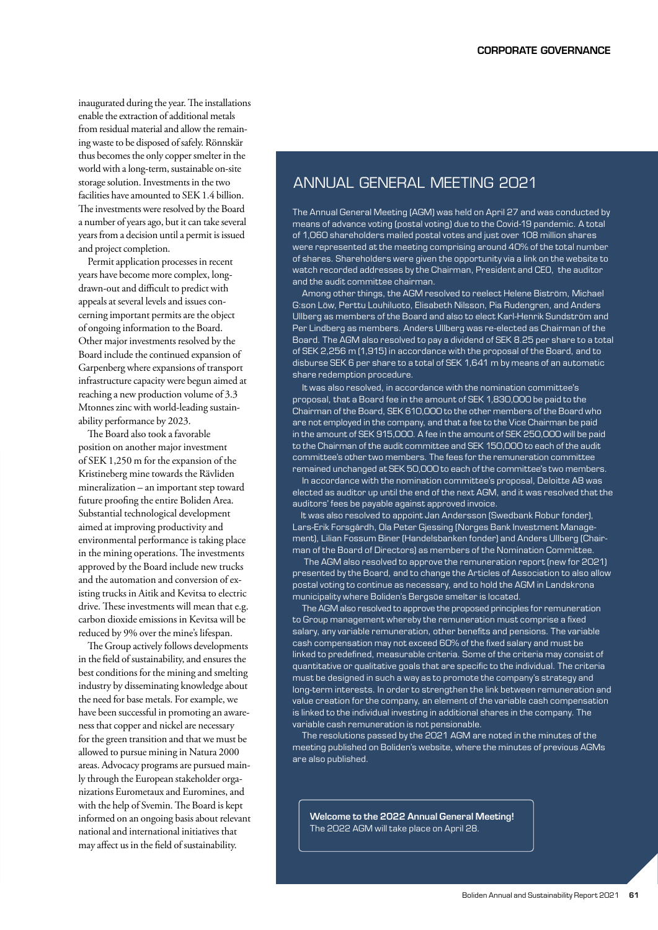inaugurated during the year. The installations enable the extraction of additional metals from residual material and allow the remaining waste to be disposed of safely. Rönnskär thus becomes the only copper smelter in the world with a long-term, sustainable on-site storage solution. Investments in the two facilities have amounted to SEK 1.4 billion. The investments were resolved by the Board a number of years ago, but it can take several years from a decision until a permit is issued and project completion.

Permit application processes in recent years have become more complex, longdrawn-out and difficult to predict with appeals at several levels and issues concerning important permits are the object of ongoing information to the Board. Other major investments resolved by the Board include the continued expansion of Garpenberg where expansions of transport infrastructure capacity were begun aimed at reaching a new production volume of 3.3 Mtonnes zinc with world-leading sustainability performance by 2023.

The Board also took a favorable position on another major investment of SEK 1,250 m for the expansion of the Kristineberg mine towards the Rävliden mineralization – an important step toward future proofing the entire Boliden Area. Substantial technological development aimed at improving productivity and environmental performance is taking place in the mining operations. The investments approved by the Board include new trucks and the automation and conversion of existing trucks in Aitik and Kevitsa to electric drive. These investments will mean that e.g. carbon dioxide emissions in Kevitsa will be reduced by 9% over the mine's lifespan.

The Group actively follows developments in the field of sustainability, and ensures the best conditions for the mining and smelting industry by disseminating knowledge about the need for base metals. For example, we have been successful in promoting an awareness that copper and nickel are necessary for the green transition and that we must be allowed to pursue mining in Natura 2000 areas. Advocacy programs are pursued mainly through the European stakeholder organizations Eurometaux and Euromines, and with the help of Svemin. The Board is kept informed on an ongoing basis about relevant national and international initiatives that may affect us in the field of sustainability.

# ANNUAL GENERAL MEETING 2021

The Annual General Meeting (AGM) was held on April 27 and was conducted by means of advance voting (postal voting) due to the Covid-19 pandemic. A total of 1,060 shareholders mailed postal votes and just over 108 million shares were represented at the meeting comprising around 40% of the total number of shares. Shareholders were given the opportunity via a link on the website to watch recorded addresses by the Chairman, President and CEO, the auditor and the audit committee chairman.

Among other things, the AGM resolved to reelect Helene Biström, Michael G:son Löw, Perttu Louhiluoto, Elisabeth Nilsson, Pia Rudengren, and Anders Ullberg as members of the Board and also to elect Karl-Henrik Sundström and Per Lindberg as members. Anders Ullberg was re-elected as Chairman of the Board. The AGM also resolved to pay a dividend of SEK 8.25 per share to a total of SEK 2,256 m (1,915) in accordance with the proposal of the Board, and to disburse SEK 6 per share to a total of SEK 1,641 m by means of an automatic share redemption procedure.

It was also resolved, in accordance with the nomination committee's proposal, that a Board fee in the amount of SEK 1,830,000 be paid to the Chairman of the Board, SEK 610,000 to the other members of the Board who are not employed in the company, and that a fee to the Vice Chairman be paid in the amount of SEK 915,000. A fee in the amount of SEK 250,000 will be paid to the Chairman of the audit committee and SEK 150,000 to each of the audit committee's other two members. The fees for the remuneration committee remained unchanged at SEK 50,000 to each of the committee's two members.

In accordance with the nomination committee's proposal, Deloitte AB was elected as auditor up until the end of the next AGM, and it was resolved that the auditors' fees be payable against approved invoice.

 It was also resolved to appoint Jan Andersson (Swedbank Robur fonder), Lars-Erik Forsgårdh, Ola Peter Gjessing (Norges Bank Investment Management), Lilian Fossum Biner (Handelsbanken fonder) and Anders Ullberg (Chairman of the Board of Directors) as members of the Nomination Committee.

The AGM also resolved to approve the remuneration report (new for 2021) presented by the Board, and to change the Articles of Association to also allow postal voting to continue as necessary, and to hold the AGM in Landskrona municipality where Boliden's Bergsöe smelter is located.

The AGM also resolved to approve the proposed principles for remuneration to Group management whereby the remuneration must comprise a fixed salary, any variable remuneration, other benefits and pensions. The variable cash compensation may not exceed 60% of the fixed salary and must be linked to predefined, measurable criteria. Some of the criteria may consist of quantitative or qualitative goals that are specific to the individual. The criteria must be designed in such a way as to promote the company's strategy and long-term interests. In order to strengthen the link between remuneration and value creation for the company, an element of the variable cash compensation is linked to the individual investing in additional shares in the company. The variable cash remuneration is not pensionable.

The resolutions passed by the 2021 AGM are noted in the minutes of the meeting published on Boliden's website, where the minutes of previous AGMs are also published.

Welcome to the 2022 Annual General Meeting! The 2022 AGM will take place on April 28.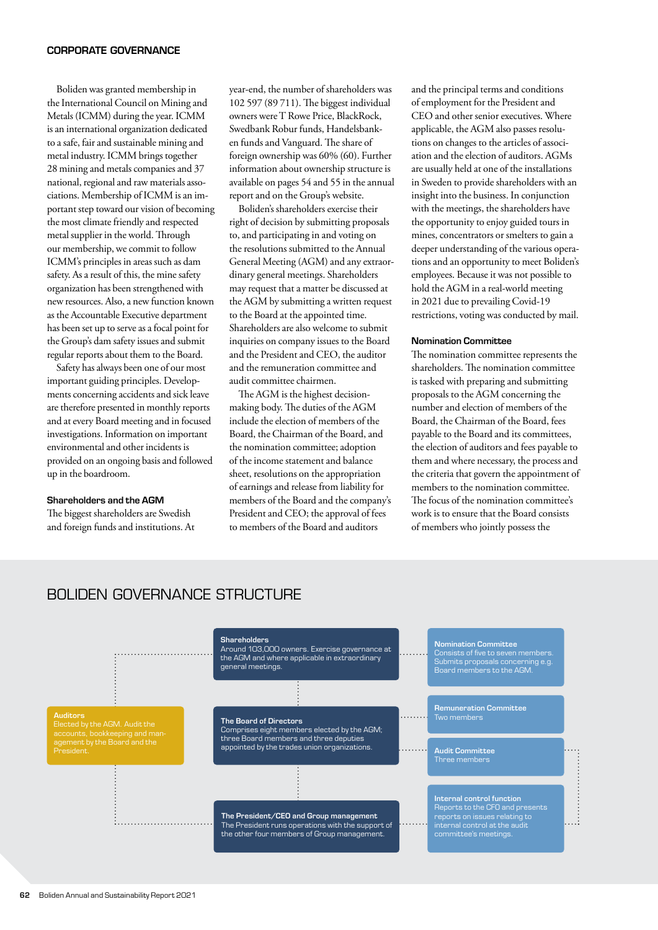#### CORPORATE GOVERNANCE

Boliden was granted membership in the International Council on Mining and Metals (ICMM) during the year. ICMM is an international organization dedicated to a safe, fair and sustainable mining and metal industry. ICMM brings together 28 mining and metals companies and 37 national, regional and raw materials associations. Membership of ICMM is an important step toward our vision of becoming the most climate friendly and respected metal supplier in the world. Through our membership, we commit to follow ICMM's principles in areas such as dam safety. As a result of this, the mine safety organization has been strengthened with new resources. Also, a new function known as the Accountable Executive department has been set up to serve as a focal point for the Group's dam safety issues and submit regular reports about them to the Board.

Safety has always been one of our most important guiding principles. Developments concerning accidents and sick leave are therefore presented in monthly reports and at every Board meeting and in focused investigations. Information on important environmental and other incidents is provided on an ongoing basis and followed up in the boardroom.

#### Shareholders and the AGM

The biggest shareholders are Swedish and foreign funds and institutions. At year-end, the number of shareholders was 102 597 (89 711). The biggest individual owners were T Rowe Price, BlackRock, Swedbank Robur funds, Handelsbanken funds and Vanguard. The share of foreign ownership was 60% (60). Further information about ownership structure is available on pages 54 and 55 in the annual report and on the Group's website.

Boliden's shareholders exercise their right of decision by submitting proposals to, and participating in and voting on the resolutions submitted to the Annual General Meeting (AGM) and any extraordinary general meetings. Shareholders may request that a matter be discussed at the AGM by submitting a written request to the Board at the appointed time. Shareholders are also welcome to submit inquiries on company issues to the Board and the President and CEO, the auditor and the remuneration committee and audit committee chairmen.

The AGM is the highest decisionmaking body. The duties of the AGM include the election of members of the Board, the Chairman of the Board, and the nomination committee; adoption of the income statement and balance sheet, resolutions on the appropriation of earnings and release from liability for members of the Board and the company's President and CEO; the approval of fees to members of the Board and auditors

and the principal terms and conditions of employment for the President and CEO and other senior executives. Where applicable, the AGM also passes resolutions on changes to the articles of association and the election of auditors. AGMs are usually held at one of the installations in Sweden to provide shareholders with an insight into the business. In conjunction with the meetings, the shareholders have the opportunity to enjoy guided tours in mines, concentrators or smelters to gain a deeper understanding of the various operations and an opportunity to meet Boliden's employees. Because it was not possible to hold the AGM in a real-world meeting in 2021 due to prevailing Covid-19 restrictions, voting was conducted by mail.

#### Nomination Committee

The nomination committee represents the shareholders. The nomination committee is tasked with preparing and submitting proposals to the AGM concerning the number and election of members of the Board, the Chairman of the Board, fees payable to the Board and its committees, the election of auditors and fees payable to them and where necessary, the process and the criteria that govern the appointment of members to the nomination committee. The focus of the nomination committee's work is to ensure that the Board consists of members who jointly possess the



BOLIDEN GOVERNANCE STRUCTURE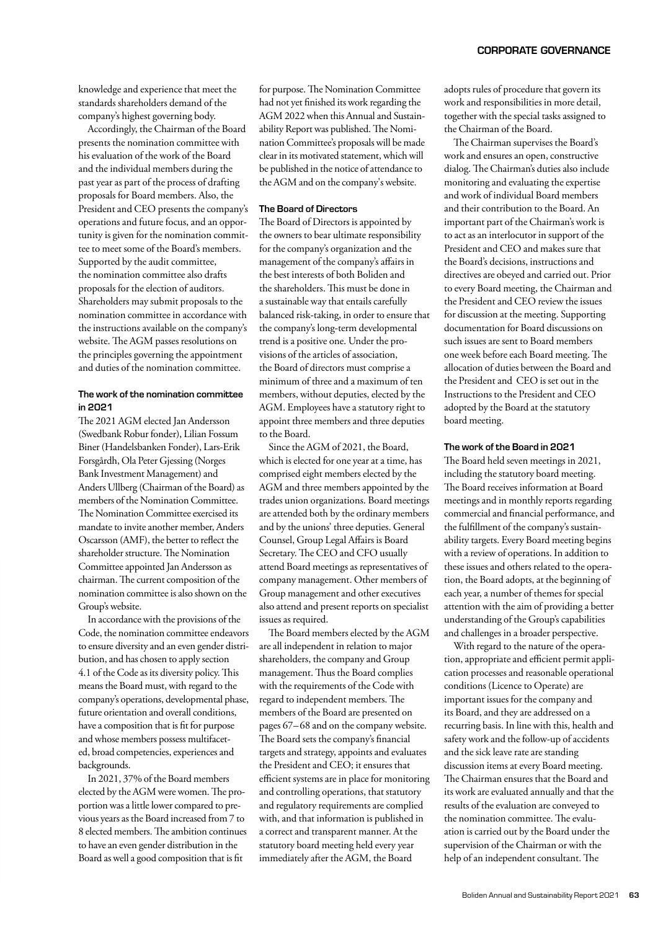knowledge and experience that meet the standards shareholders demand of the company's highest governing body.

Accordingly, the Chairman of the Board presents the nomination committee with his evaluation of the work of the Board and the individual members during the past year as part of the process of drafting proposals for Board members. Also, the President and CEO presents the company's operations and future focus, and an opportunity is given for the nomination committee to meet some of the Board's members. Supported by the audit committee, the nomination committee also drafts proposals for the election of auditors. Shareholders may submit proposals to the nomination committee in accordance with the instructions available on the company's website. The AGM passes resolutions on the principles governing the appointment and duties of the nomination committee.

## The work of the nomination committee in 2021

The 2021 AGM elected Jan Andersson (Swedbank Robur fonder), Lilian Fossum Biner (Handelsbanken Fonder), Lars-Erik Forsgårdh, Ola Peter Gjessing (Norges Bank Investment Management) and Anders Ullberg (Chairman of the Board) as members of the Nomination Committee. The Nomination Committee exercised its mandate to invite another member, Anders Oscarsson (AMF), the better to reflect the shareholder structure. The Nomination Committee appointed Jan Andersson as chairman. The current composition of the nomination committee is also shown on the Group's website.

In accordance with the provisions of the Code, the nomination committee endeavors to ensure diversity and an even gender distribution, and has chosen to apply section 4.1 of the Code as its diversity policy. This means the Board must, with regard to the company's operations, developmental phase, future orientation and overall conditions, have a composition that is fit for purpose and whose members possess multifaceted, broad competencies, experiences and backgrounds.

In 2021, 37% of the Board members elected by the AGM were women. The proportion was a little lower compared to previous years as the Board increased from 7 to 8 elected members. The ambition continues to have an even gender distribution in the Board as well a good composition that is fit

for purpose. The Nomination Committee had not yet finished its work regarding the AGM 2022 when this Annual and Sustainability Report was published. The Nomination Committee's proposals will be made clear in its motivated statement, which will be published in the notice of attendance to the AGM and on the company's website.

#### The Board of Directors

The Board of Directors is appointed by the owners to bear ultimate responsibility for the company's organization and the management of the company's affairs in the best interests of both Boliden and the shareholders. This must be done in a sustainable way that entails carefully balanced risk-taking, in order to ensure that the company's long-term developmental trend is a positive one. Under the provisions of the articles of association, the Board of directors must comprise a minimum of three and a maximum of ten members, without deputies, elected by the AGM. Employees have a statutory right to appoint three members and three deputies to the Board.

Since the AGM of 2021, the Board, which is elected for one year at a time, has comprised eight members elected by the AGM and three members appointed by the trades union organizations. Board meetings are attended both by the ordinary members and by the unions' three deputies. General Counsel, Group Legal Affairs is Board Secretary. The CEO and CFO usually attend Board meetings as representatives of company management. Other members of Group management and other executives also attend and present reports on specialist issues as required.

The Board members elected by the AGM are all independent in relation to major shareholders, the company and Group management. Thus the Board complies with the requirements of the Code with regard to independent members. The members of the Board are presented on pages 67–68 and on the company website. The Board sets the company's financial targets and strategy, appoints and evaluates the President and CEO; it ensures that efficient systems are in place for monitoring and controlling operations, that statutory and regulatory requirements are complied with, and that information is published in a correct and transparent manner. At the statutory board meeting held every year immediately after the AGM, the Board

adopts rules of procedure that govern its work and responsibilities in more detail, together with the special tasks assigned to the Chairman of the Board.

The Chairman supervises the Board's work and ensures an open, constructive dialog. The Chairman's duties also include monitoring and evaluating the expertise and work of individual Board members and their contribution to the Board. An important part of the Chairman's work is to act as an interlocutor in support of the President and CEO and makes sure that the Board's decisions, instructions and directives are obeyed and carried out. Prior to every Board meeting, the Chairman and the President and CEO review the issues for discussion at the meeting. Supporting documentation for Board discussions on such issues are sent to Board members one week before each Board meeting. The allocation of duties between the Board and the President and CEO is set out in the Instructions to the President and CEO adopted by the Board at the statutory board meeting.

#### The work of the Board in 2021

The Board held seven meetings in 2021, including the statutory board meeting. The Board receives information at Board meetings and in monthly reports regarding commercial and financial performance, and the fulfillment of the company's sustainability targets. Every Board meeting begins with a review of operations. In addition to these issues and others related to the operation, the Board adopts, at the beginning of each year, a number of themes for special attention with the aim of providing a better understanding of the Group's capabilities and challenges in a broader perspective.

With regard to the nature of the operation, appropriate and efficient permit application processes and reasonable operational conditions (Licence to Operate) are important issues for the company and its Board, and they are addressed on a recurring basis. In line with this, health and safety work and the follow-up of accidents and the sick leave rate are standing discussion items at every Board meeting. The Chairman ensures that the Board and its work are evaluated annually and that the results of the evaluation are conveyed to the nomination committee. The evaluation is carried out by the Board under the supervision of the Chairman or with the help of an independent consultant. The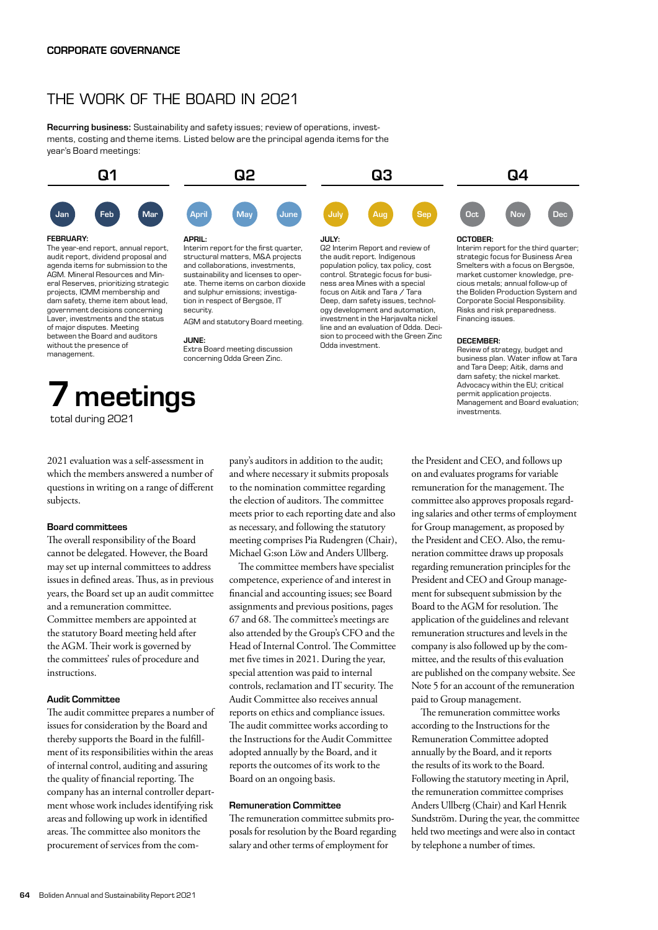# THE WORK OF THE BOARD IN 2021

Recurring business: Sustainability and safety issues; review of operations, investments, costing and theme items. Listed below are the principal agenda items for the year's Board meetings:

security.

JUNE:

structural matters, M&A projects and collaborations, investments, sustainability and licenses to operate. Theme items on carbon dioxide and sulphur emissions; investigation in respect of Bergsöe, IT

AGM and statutory Board meeting.

Extra Board meeting discussion concerning Odda Green Zinc.



the audit report. Indigenous population policy, tax policy, cost control. Strategic focus for business area Mines with a special focus on Aitik and Tara / Tara Deep, dam safety issues, technology development and automation, investment in the Harjavalta nickel line and an evaluation of Odda. Decision to proceed with the Green Zinc

Odda investment.

audit report, dividend proposal and agenda items for submission to the AGM. Mineral Resources and Mineral Reserves, prioritizing strategic projects, ICMM membership and dam safety, theme item about lead, government decisions concerning Laver, investments and the status of major disputes. Meeting between the Board and auditors without the presence of management.

# 7 meetings total during 2021

2021 evaluation was a self-assessment in which the members answered a number of questions in writing on a range of different subjects.

#### Board committees

The overall responsibility of the Board cannot be delegated. However, the Board may set up internal committees to address issues in defined areas. Thus, as in previous years, the Board set up an audit committee and a remuneration committee. Committee members are appointed at the statutory Board meeting held after the AGM. Their work is governed by the committees' rules of procedure and instructions.

## Audit Committee

The audit committee prepares a number of issues for consideration by the Board and thereby supports the Board in the fulfillment of its responsibilities within the areas of internal control, auditing and assuring the quality of financial reporting. The company has an internal controller department whose work includes identifying risk areas and following up work in identified areas. The committee also monitors the procurement of services from the com-

pany's auditors in addition to the audit; and where necessary it submits proposals to the nomination committee regarding the election of auditors. The committee meets prior to each reporting date and also as necessary, and following the statutory meeting comprises Pia Rudengren (Chair), Michael G:son Löw and Anders Ullberg.

The committee members have specialist competence, experience of and interest in financial and accounting issues; see Board assignments and previous positions, pages 67 and 68. The committee's meetings are also attended by the Group's CFO and the Head of Internal Control. The Committee met five times in 2021. During the year, special attention was paid to internal controls, reclamation and IT security. The Audit Committee also receives annual reports on ethics and compliance issues. The audit committee works according to the Instructions for the Audit Committee adopted annually by the Board, and it reports the outcomes of its work to the Board on an ongoing basis.

#### Remuneration Committee

The remuneration committee submits proposals for resolution by the Board regarding salary and other terms of employment for

the President and CEO, and follows up on and evaluates programs for variable remuneration for the management. The committee also approves proposals regarding salaries and other terms of employment for Group management, as proposed by the President and CEO. Also, the remuneration committee draws up proposals regarding remuneration principles for the President and CEO and Group management for subsequent submission by the Board to the AGM for resolution. The application of the guidelines and relevant remuneration structures and levels in the company is also followed up by the committee, and the results of this evaluation are published on the company website. See Note 5 for an account of the remuneration paid to Group management.

DECEMBER:

Financing issues.

investments.

Review of strategy, budget and business plan. Water inflow at Tara and Tara Deep; Aitik, dams and dam safety; the nickel market. Advocacy within the EU; critical permit application projects. Management and Board evaluation;

strategic focus for Business Area Smelters with a focus on Bergsöe, market customer knowledge, precious metals; annual follow-up of the Boliden Production System and Corporate Social Responsibility. Risks and risk preparedness.

The remuneration committee works according to the Instructions for the Remuneration Committee adopted annually by the Board, and it reports the results of its work to the Board. Following the statutory meeting in April, the remuneration committee comprises Anders Ullberg (Chair) and Karl Henrik Sundström. During the year, the committee held two meetings and were also in contact by telephone a number of times.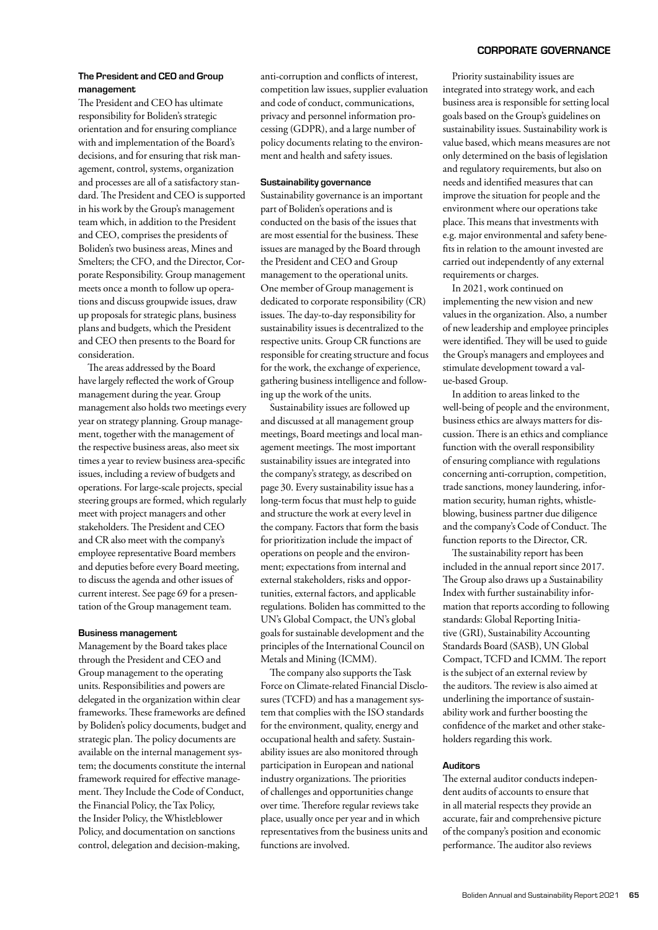#### The President and CEO and Group management

The President and CEO has ultimate responsibility for Boliden's strategic orientation and for ensuring compliance with and implementation of the Board's decisions, and for ensuring that risk management, control, systems, organization and processes are all of a satisfactory standard. The President and CEO is supported in his work by the Group's management team which, in addition to the President and CEO, comprises the presidents of Boliden's two business areas, Mines and Smelters; the CFO, and the Director, Corporate Responsibility. Group management meets once a month to follow up operations and discuss groupwide issues, draw up proposals for strategic plans, business plans and budgets, which the President and CEO then presents to the Board for consideration.

The areas addressed by the Board have largely reflected the work of Group management during the year. Group management also holds two meetings every year on strategy planning. Group management, together with the management of the respective business areas, also meet six times a year to review business area-specific issues, including a review of budgets and operations. For large-scale projects, special steering groups are formed, which regularly meet with project managers and other stakeholders. The President and CEO and CR also meet with the company's employee representative Board members and deputies before every Board meeting, to discuss the agenda and other issues of current interest. See page 69 for a presentation of the Group management team.

#### Business management

Management by the Board takes place through the President and CEO and Group management to the operating units. Responsibilities and powers are delegated in the organization within clear frameworks. These frameworks are defined by Boliden's policy documents, budget and strategic plan. The policy documents are available on the internal management system; the documents constitute the internal framework required for effective management. They Include the Code of Conduct, the Financial Policy, the Tax Policy, the Insider Policy, the Whistleblower Policy, and documentation on sanctions control, delegation and decision-making,

anti-corruption and conflicts of interest, competition law issues, supplier evaluation and code of conduct, communications, privacy and personnel information processing (GDPR), and a large number of policy documents relating to the environment and health and safety issues.

#### Sustainability governance

Sustainability governance is an important part of Boliden's operations and is conducted on the basis of the issues that are most essential for the business. These issues are managed by the Board through the President and CEO and Group management to the operational units. One member of Group management is dedicated to corporate responsibility (CR) issues. The day-to-day responsibility for sustainability issues is decentralized to the respective units. Group CR functions are responsible for creating structure and focus for the work, the exchange of experience, gathering business intelligence and following up the work of the units.

Sustainability issues are followed up and discussed at all management group meetings, Board meetings and local management meetings. The most important sustainability issues are integrated into the company's strategy, as described on page 30. Every sustainability issue has a long-term focus that must help to guide and structure the work at every level in the company. Factors that form the basis for prioritization include the impact of operations on people and the environment; expectations from internal and external stakeholders, risks and opportunities, external factors, and applicable regulations. Boliden has committed to the UN's Global Compact, the UN's global goals for sustainable development and the principles of the International Council on Metals and Mining (ICMM).

The company also supports the Task Force on Climate-related Financial Disclosures (TCFD) and has a management system that complies with the ISO standards for the environment, quality, energy and occupational health and safety. Sustainability issues are also monitored through participation in European and national industry organizations. The priorities of challenges and opportunities change over time. Therefore regular reviews take place, usually once per year and in which representatives from the business units and functions are involved.

## Priority sustainability issues are integrated into strategy work, and each business area is responsible for setting local goals based on the Group's guidelines on sustainability issues. Sustainability work is value based, which means measures are not only determined on the basis of legislation and regulatory requirements, but also on needs and identified measures that can improve the situation for people and the environment where our operations take place. This means that investments with e.g. major environmental and safety benefits in relation to the amount invested are carried out independently of any external requirements or charges.

In 2021, work continued on implementing the new vision and new values in the organization. Also, a number of new leadership and employee principles were identified. They will be used to guide the Group's managers and employees and stimulate development toward a value-based Group.

In addition to areas linked to the well-being of people and the environment, business ethics are always matters for discussion. There is an ethics and compliance function with the overall responsibility of ensuring compliance with regulations concerning anti-corruption, competition, trade sanctions, money laundering, information security, human rights, whistleblowing, business partner due diligence and the company's Code of Conduct. The function reports to the Director, CR.

The sustainability report has been included in the annual report since 2017. The Group also draws up a Sustainability Index with further sustainability information that reports according to following standards: Global Reporting Initiative (GRI), Sustainability Accounting Standards Board (SASB), UN Global Compact, TCFD and ICMM. The report is the subject of an external review by the auditors. The review is also aimed at underlining the importance of sustainability work and further boosting the confidence of the market and other stakeholders regarding this work.

#### Auditors

The external auditor conducts independent audits of accounts to ensure that in all material respects they provide an accurate, fair and comprehensive picture of the company's position and economic performance. The auditor also reviews